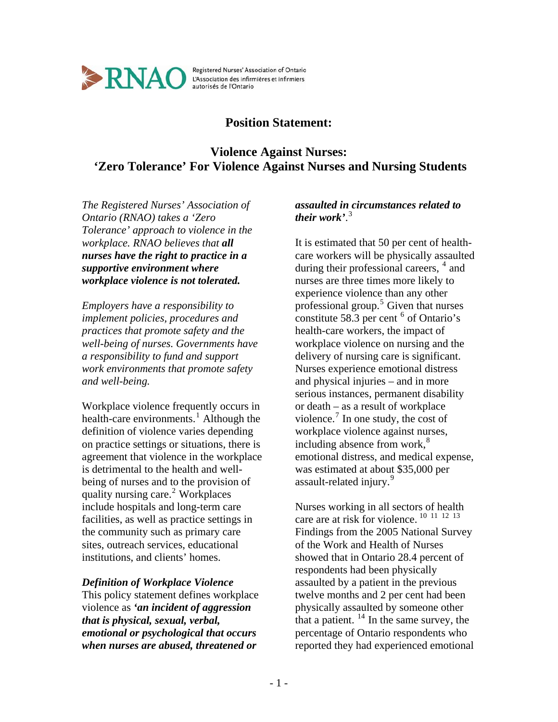

Registered Nurses' Association of Ontario L'Association des infirmières et infirmiers<br>autorisés de l'Ontario

## **Position Statement:**

# **Violence Against Nurses: 'Zero Tolerance' For Violence Against Nurses and Nursing Students**

*The Registered Nurses' Association of Ontario (RNAO) takes a 'Zero Tolerance' approach to violence in the workplace. RNAO believes that all nurses have the right to practice in a supportive environment where workplace violence is not tolerated.* 

*Employers have a responsibility to implement policies, procedures and practices that promote safety and the well-being of nurses. Governments have a responsibility to fund and support work environments that promote safety and well-being.* 

Workplace violence frequently occurs in health-care environments.<sup>[1](#page-6-0)</sup> Although the definition of violence varies depending on practice settings or situations, there is agreement that violence in the workplace is detrimental to the health and wellbeing of nurses and to the provision of quality nursing care.<sup>[2](#page-6-1)</sup> Workplaces include hospitals and long-term care facilities, as well as practice settings in the community such as primary care sites, outreach services, educational institutions, and clients' homes.

## *Definition of Workplace Violence*

This policy statement defines workplace violence as *'an incident of aggression that is physical, sexual, verbal, emotional or psychological that occurs when nurses are abused, threatened or* 

## *assaulted in circumstances related to their work'*. [3](#page-6-1)

It is estimated that 50 per cent of healthcare workers will be physically assaulted during their professional careers, <sup>[4](#page-6-1)</sup> and nurses are three times more likely to experience violence than any other professional group.<sup>[5](#page-6-1)</sup> Given that nurses constitute 58.3 per cent  $6$  of Ontario's health-care workers, the impact of workplace violence on nursing and the delivery of nursing care is significant. Nurses experience emotional distress and physical injuries – and in more serious instances, permanent disability or death – as a result of workplace violence. $\frac{7}{1}$  $\frac{7}{1}$  $\frac{7}{1}$  In one study, the cost of workplace violence against nurses, including absence from work, $8<sup>8</sup>$  $8<sup>8</sup>$ emotional distress, and medical expense, was estimated at about \$35,000 per assault-related injury.<sup>[9](#page-6-1)</sup>

Nurses working in all sectors of health care are at risk for violence. <sup>[10](#page-6-1) [11](#page-6-1) [12](#page-6-1) [13](#page-6-1)</sup> Findings from the 2005 National Survey of the Work and Health of Nurses showed that in Ontario 28.4 percent of respondents had been physically assaulted by a patient in the previous twelve months and 2 per cent had been physically assaulted by someone other that a patient.  $^{14}$  $^{14}$  $^{14}$  In the same survey, the percentage of Ontario respondents who reported they had experienced emotional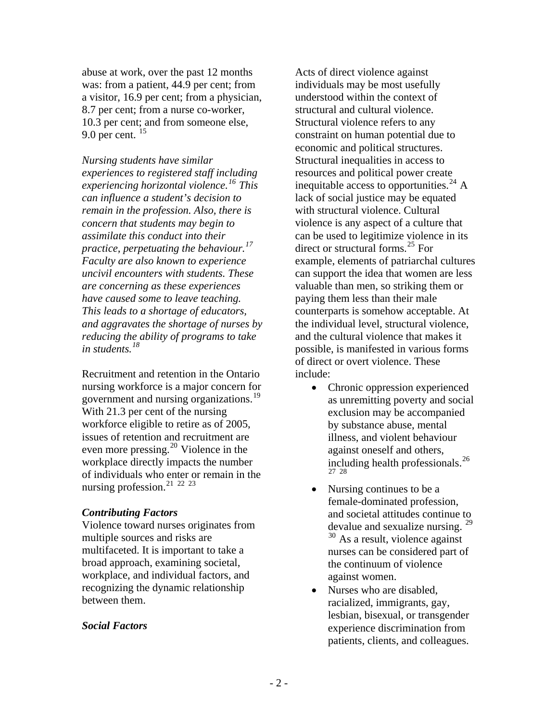abuse at work, over the past 12 months was: from a patient, 44.9 per cent; from a visitor, 16.9 per cent; from a physician, 8.7 per cent; from a nurse co-worker, 10.3 per cent; and from someone else, 9.0 per cent. [15](#page-6-1)

*Nursing students have similar experiences to registered staff including experiencing horizontal violence.[16](#page-6-1) This can influence a student's decision to remain in the profession. Also, there is concern that students may begin to assimilate this conduct into their practice, perpetuating the behaviour.[17](#page-6-1) Faculty are also known to experience uncivil encounters with students. These are concerning as these experiences have caused some to leave teaching. This leads to a shortage of educators, and aggravates the shortage of nurses by reducing the ability of programs to take in students.[18](#page-6-1)* 

Recruitment and retention in the Ontario nursing workforce is a major concern for government and nursing organizations.[19](#page-6-1) With 21.3 per cent of the nursing workforce eligible to retire as of 2005, issues of retention and recruitment are even more pressing.[20](#page-6-1) Violence in the workplace directly impacts the number of individuals who enter or remain in the nursing profession.[21](#page-6-1) [22](#page-6-1) [23](#page-6-1)

#### *Contributing Factors*

Violence toward nurses originates from multiple sources and risks are multifaceted. It is important to take a broad approach, examining societal, workplace, and individual factors, and recognizing the dynamic relationship between them.

### *Social Factors*

Acts of direct violence against individuals may be most usefully understood within the context of structural and cultural violence. Structural violence refers to any constraint on human potential due to economic and political structures. Structural inequalities in access to resources and political power create inequitable access to opportunities.<sup>[24](#page-6-1)</sup> A lack of social justice may be equated with structural violence. Cultural violence is any aspect of a culture that can be used to legitimize violence in its direct or structural forms.[25](#page-6-1) For example, elements of patriarchal cultures can support the idea that women are less valuable than men, so striking them or paying them less than their male counterparts is somehow acceptable. At the individual level, structural violence, and the cultural violence that makes it possible, is manifested in various forms of direct or overt violence. These include:

- Chronic oppression experienced as unremitting poverty and social exclusion may be accompanied by substance abuse, mental illness, and violent behaviour against oneself and others, including health professionals.[26](#page-6-1) [27](#page-6-1) [28](#page-6-1)
- Nursing continues to be a female-dominated profession, and societal attitudes continue to devalue and sexualize nursing. [29](#page-6-1)  $30$  As a result, violence against nurses can be considered part of the continuum of violence against women.
- Nurses who are disabled, racialized, immigrants, gay, lesbian, bisexual, or transgender experience discrimination from patients, clients, and colleagues.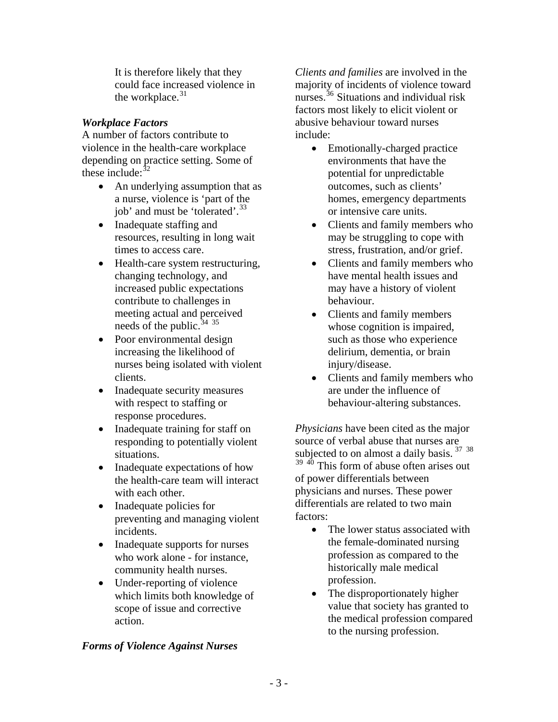It is therefore likely that they could face increased violence in the workplace.<sup>[31](#page-6-1)</sup>

## *Workplace Factors*

A number of factors contribute to violence in the health-care workplace depending on practice setting. Some of these include: $32$ 

- An underlying assumption that as a nurse, violence is 'part of the job' and must be 'tolerated'.<sup>[33](#page-6-1)</sup>
- Inadequate staffing and resources, resulting in long wait times to access care.
- Health-care system restructuring, changing technology, and increased public expectations contribute to challenges in meeting actual and perceived needs of the public.  $34^{35}$  $34^{35}$  $34^{35}$  $34^{35}$
- Poor environmental design increasing the likelihood of nurses being isolated with violent clients.
- Inadequate security measures with respect to staffing or response procedures.
- Inadequate training for staff on responding to potentially violent situations.
- Inadequate expectations of how the health-care team will interact with each other.
- Inadequate policies for preventing and managing violent incidents.
- Inadequate supports for nurses who work alone - for instance, community health nurses.
- Under-reporting of violence which limits both knowledge of scope of issue and corrective action.

## *Forms of Violence Against Nurses*

*Clients and families* are involved in the majority of incidents of violence toward nurses.<sup>[36](#page-6-1)</sup> Situations and individual risk factors most likely to elicit violent or abusive behaviour toward nurses include:

- Emotionally-charged practice environments that have the potential for unpredictable outcomes, such as clients' homes, emergency departments or intensive care units.
- Clients and family members who may be struggling to cope with stress, frustration, and/or grief.
- Clients and family members who have mental health issues and may have a history of violent behaviour.
- Clients and family members whose cognition is impaired, such as those who experience delirium, dementia, or brain injury/disease.
- Clients and family members who are under the influence of behaviour-altering substances.

*Physicians* have been cited as the major source of verbal abuse that nurses are subjected to on almost a daily basis.  $37 \times 38$  $37 \times 38$  $37 \times 38$ 

 $39\frac{40}{10}$  $39\frac{40}{10}$  $39\frac{40}{10}$  $39\frac{40}{10}$  This form of abuse often arises out of power differentials between physicians and nurses. These power differentials are related to two main factors:

- The lower status associated with the female-dominated nursing profession as compared to the historically male medical profession.
- The disproportionately higher value that society has granted to the medical profession compared to the nursing profession.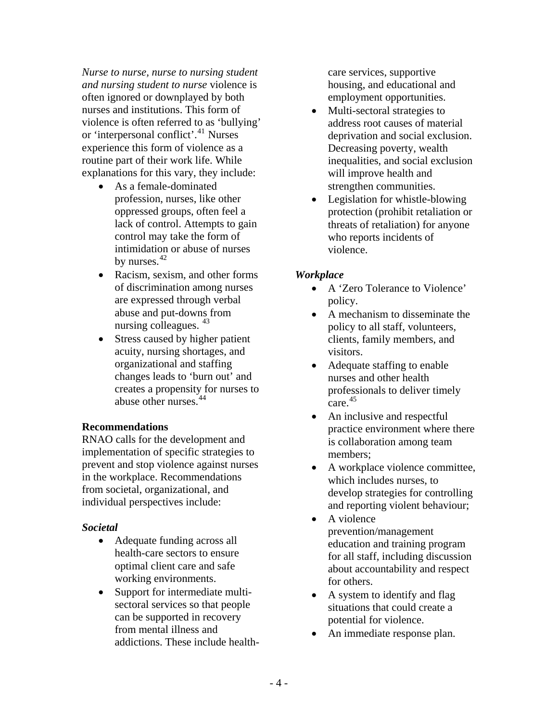*Nurse to nurse, nurse to nursing student and nursing student to nurse* violence is often ignored or downplayed by both nurses and institutions. This form of violence is often referred to as 'bullying' or 'interpersonal conflict'.<sup>[41](#page-6-1)</sup> Nurses experience this form of violence as a routine part of their work life. While explanations for this vary, they include:

- As a female-dominated profession, nurses, like other oppressed groups, often feel a lack of control. Attempts to gain control may take the form of intimidation or abuse of nurses by nurses. $42$
- Racism, sexism, and other forms of discrimination among nurses are expressed through verbal abuse and put-downs from nursing colleagues.  $43$
- Stress caused by higher patient acuity, nursing shortages, and organizational and staffing changes leads to 'burn out' and creates a propensity for nurses to abuse other nurses.<sup>[44](#page-6-1)</sup>

### **Recommendations**

RNAO calls for the development and implementation of specific strategies to prevent and stop violence against nurses in the workplace. Recommendations from societal, organizational, and individual perspectives include:

### *Societal*

- Adequate funding across all health-care sectors to ensure optimal client care and safe working environments.
- Support for intermediate multisectoral services so that people can be supported in recovery from mental illness and addictions. These include health-

care services, supportive housing, and educational and employment opportunities.

- Multi-sectoral strategies to address root causes of material deprivation and social exclusion. Decreasing poverty, wealth inequalities, and social exclusion will improve health and strengthen communities.
- Legislation for whistle-blowing protection (prohibit retaliation or threats of retaliation) for anyone who reports incidents of violence.

## *Workplace*

- A 'Zero Tolerance to Violence' policy.
- A mechanism to disseminate the policy to all staff, volunteers, clients, family members, and visitors.
- Adequate staffing to enable nurses and other health professionals to deliver timely care.  $45$
- An inclusive and respectful practice environment where there is collaboration among team members;
- A workplace violence committee, which includes nurses, to develop strategies for controlling and reporting violent behaviour;
- A violence prevention/management education and training program for all staff, including discussion about accountability and respect for others.
- A system to identify and flag situations that could create a potential for violence.
- An immediate response plan.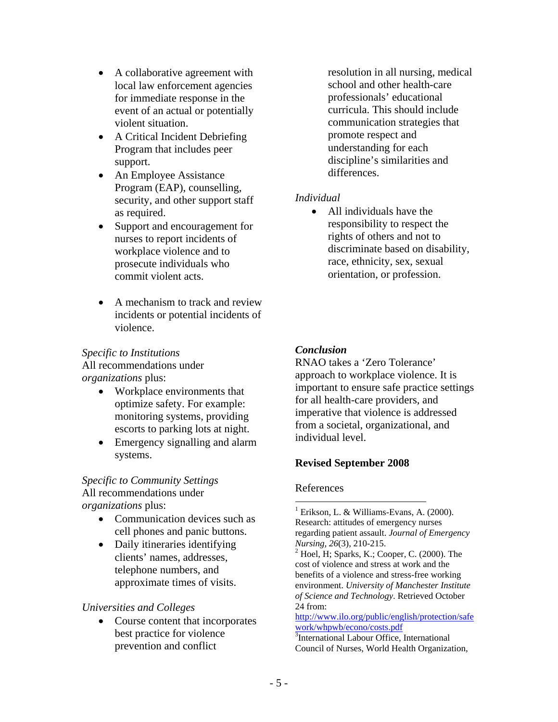- A collaborative agreement with local law enforcement agencies for immediate response in the event of an actual or potentially violent situation.
- A Critical Incident Debriefing Program that includes peer support.
- An Employee Assistance Program (EAP), counselling, security, and other support staff as required.
- Support and encouragement for nurses to report incidents of workplace violence and to prosecute individuals who commit violent acts.
- A mechanism to track and review incidents or potential incidents of violence.

## *Specific to Institutions*

All recommendations under *organizations* plus:

- Workplace environments that optimize safety. For example: monitoring systems, providing escorts to parking lots at night.
- Emergency signalling and alarm systems.

*Specific to Community Settings*  All recommendations under *organizations* plus:

- Communication devices such as cell phones and panic buttons.
- Daily itineraries identifying clients' names, addresses, telephone numbers, and approximate times of visits.

## *Universities and Colleges*

• Course content that incorporates best practice for violence prevention and conflict

resolution in all nursing, medical school and other health-care professionals' educational curricula. This should include communication strategies that promote respect and understanding for each discipline's similarities and differences.

## *Individual*

• All individuals have the responsibility to respect the rights of others and not to discriminate based on disability, race, ethnicity, sex, sexual orientation, or profession.

## *Conclusion*

RNAO takes a 'Zero Tolerance' approach to workplace violence. It is important to ensure safe practice settings for all health-care providers, and imperative that violence is addressed from a societal, organizational, and individual level.

## **Revised September 2008**

### References

 $\overline{a}$ 

<sup>1</sup> Erikson, L. & Williams-Evans, A. (2000). Research: attitudes of emergency nurses regarding patient assault. *Journal of Emergency Nursing, 26*(3), 210-215. 2

[http://www.ilo.org/public/english/protection/safe](http://www.ilo.org/public/english/protection/safework/whpwb/econo/costs.pdf) [work/whpwb/econo/costs.pdf](http://www.ilo.org/public/english/protection/safework/whpwb/econo/costs.pdf) <sup>3</sup>International Labour Office, International

 $2$  Hoel, H; Sparks, K.; Cooper, C. (2000). The cost of violence and stress at work and the benefits of a violence and stress-free working environment. *University of Manchester Institute of Science and Technology*. Retrieved October 24 from: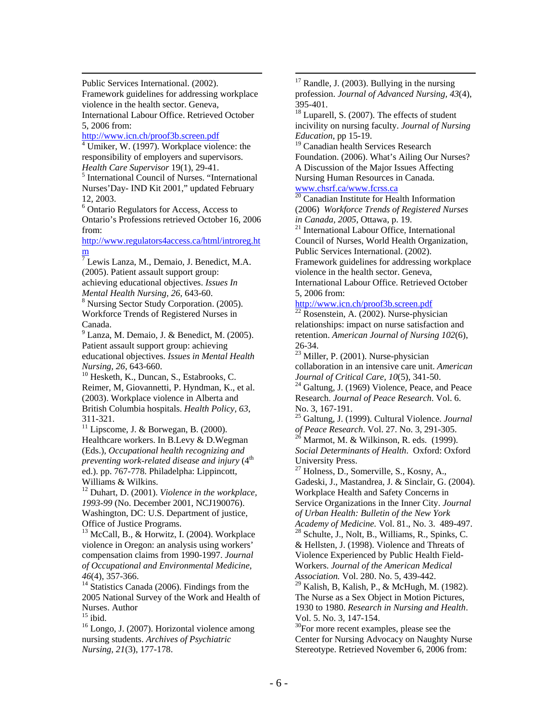Public Services International. (2002).

Framework guidelines for addressing workplace violence in the health sector. Geneva, International Labour Office. Retrieved October 5, 2006 from:

http://www.icn.ch/proof3b.screen.pdf

 $\frac{4 \text{ U}}{\text{miker, W. (1997)}}$ . Workplace violence: the responsibility of employers and supervisors. *Health Care Supervisor* 19(1), 29-41.

<sup>5</sup> International Council of Nurses. "International Nurses'Day- IND Kit 2001," updated February 12, 2003.

6 Ontario Regulators for Access, Access to Ontario's Professions retrieved October 16, 2006 from:

[http://www.regulators4access.ca/html/introreg.ht](http://www.regulators4access.ca/html/introreg.htm) m<br><sup>7</sup> Lewis Lanza, M., Demaio, J. Benedict, M.A.

(2005). Patient assault support group: achieving educational objectives. *Issues In Mental Health Nursing, 26, 643-60.* 

<sup>8</sup> Nursing Sector Study Corporation. (2005). Workforce Trends of Registered Nurses in Canada.

9 Lanza, M. Demaio, J. & Benedict, M. (2005). Patient assault support group: achieving educational objectives. *Issues in Mental Health Nursing, 26, 643-660. 10* Hesketh, K., Duncan, S., Estabrooks, C.

Reimer, M, Giovannetti, P. Hyndman, K., et al. (2003). Workplace violence in Alberta and British Columbia hospitals. *Health Policy, 63*, 311-321.

 $11$  Lipscome, J. & Borwegan, B. (2000). Healthcare workers. In B.Levy & D.Wegman (Eds.), *Occupational health recognizing and preventing work-related disease and injury* (4<sup>th</sup>) ed.). pp. 767-778. Philadelpha: Lippincott, Williams & Wilkins.

12 Duhart, D. (2001). *Violence in the workplace, 1993-99* (No. December 2001, NCJ190076). Washington, DC: U.S. Department of justice, Office of Justice Programs.

 $13$  McCall, B., & Horwitz, I. (2004). Workplace violence in Oregon: an analysis using workers' compensation claims from 1990-1997. *Journal of Occupational and Environmental Medicine, <sup>46</sup>*(4), 357-366. 14 Statistics Canada (2006). Findings from the

2005 National Survey of the Work and Health of Nurses. Author

 $15$  ibid.

<sup>16</sup> Longo, J. (2007). Horizontal violence among nursing students. *Archives of Psychiatric Nursing, 21*(3), 177-178.

 $17$  Randle, J. (2003). Bullying in the nursing profession. *Journal of Advanced Nursing, 43*(4), 395-401.

<sup>18</sup> Luparell, S. (2007). The effects of student incivility on nursing faculty. *Journal of Nursing Education*, pp 15-19.

<sup>19</sup> Canadian health Services Research Foundation. (2006). What's Ailing Our Nurses? A Discussion of the Major Issues Affecting Nursing Human Resources in Canada.

[www.chsrf.ca/www.fcrss.ca 20](http://www.chsrf.ca/www.fcrss.ca) Canadian Institute for Health Information

(2006) *Workforce Trends of Registered Nurses in Canada, 2005, Ottawa, p. 19.* <sup>21</sup> International Labour Office, International

Council of Nurses, World Health Organization, Public Services International. (2002). Framework guidelines for addressing workplace

violence in the health sector. Geneva, International Labour Office. Retrieved October 5, 2006 from:

#### <http://www.icn.ch/proof3b.screen.pdf>

Rosenstein, A. (2002). Nurse-physician relationships: impact on nurse satisfaction and retention. *American Journal of Nursing 102*(6), 26-34.

<sup>23</sup> Miller, P. (2001). Nurse-physician collaboration in an intensive care unit. *American* 

<sup>24</sup> Galtung, J. (1969) Violence, Peace, and Peace Research. *Journal of Peace Research*. Vol. 6. No. 3, 167-191.

25 Galtung, J. (1999). Cultural Violence. *Journal of Peace Research*. Vol. 27. No. 3, 291-305.<br><sup>26</sup> Marmot, M. & Wilkinson, R. eds. (1999).

*Social Determinants of Health*. Oxford: Oxford University Press.

27 Holness, D., Somerville, S., Kosny, A., Gadeski, J., Mastandrea, J. & Sinclair, G. (2004). Workplace Health and Safety Concerns in Service Organizations in the Inner City. *Journal of Urban Health: Bulletin of the New York* 

*Academy of Medicine.* Vol. 81., No. 3. 489-497.<br><sup>28</sup> Schulte, J., Nolt, B., Williams, R., Spinks, C. & Hellsten, J. (1998). Violence and Threats of Violence Experienced by Public Health Field-Workers. *Journal of the American Medical Association.* Vol. 280. No. 5, 439-442.

 $29$  Kalish, B, Kalish, P., & McHugh, M. (1982). The Nurse as a Sex Object in Motion Pictures, 1930 to 1980. *Research in Nursing and Health*. Vol. 5. No. 3, 147-154.

<sup>30</sup>For more recent examples, please see the Center for Nursing Advocacy on Naughty Nurse Stereotype. Retrieved November 6, 2006 from: